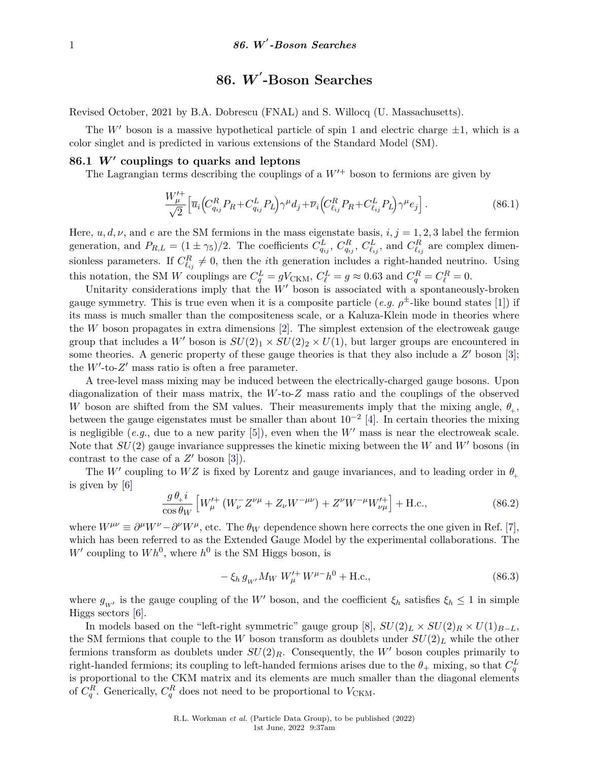# **86.** *W* **0 -Boson Searches**

Revised October, 2021 by B.A. Dobrescu (FNAL) and S. Willocq (U. Massachusetts).

The W' boson is a massive hypothetical particle of spin 1 and electric charge  $\pm 1$ , which is a color singlet and is predicted in various extensions of the Standard Model (SM).

## 86.1  $W'$  couplings to quarks and leptons

The Lagrangian terms describing the couplings of a  $W'^+$  boson to fermions are given by

$$
\frac{W_{\mu}^{\prime+}}{\sqrt{2}} \left[ \overline{u}_i \left( C_{q_{ij}}^R P_R + C_{q_{ij}}^L P_L \right) \gamma^{\mu} d_j + \overline{\nu}_i \left( C_{\ell_{ij}}^R P_R + C_{\ell_{ij}}^L P_L \right) \gamma^{\mu} e_j \right]. \tag{86.1}
$$

Here,  $u, d, \nu$ , and  $e$  are the SM fermions in the mass eigenstate basis,  $i, j = 1, 2, 3$  label the fermion generation, and  $P_{R,L} = (1 \pm \gamma_5)/2$ . The coefficients  $C_{q_{ij}}^L$ ,  $C_{q_{ij}}^R$ ,  $C_{\ell_{ij}}^L$ , and  $C_{\ell_{ij}}^R$  are complex dimensionless parameters. If  $C_{\ell_{ij}}^R \neq 0$ , then the *i*th generation includes a right-handed neutrino. Using this notation, the SM *W* couplings are  $C_q^L = gV_{CKM}$ ,  $C_\ell^L = g \approx 0.63$  and  $C_q^R = C_\ell^R = 0$ .

Unitarity considerations imply that the  $W'$  boson is associated with a spontaneously-broken gauge symmetry. This is true even when it is a composite particle (*e.g.*  $\rho^{\pm}$ -like bound states [\[1\]](#page-4-0)) if its mass is much smaller than the compositeness scale, or a Kaluza-Klein mode in theories where the *W* boson propagates in extra dimensions [\[2\]](#page-4-1). The simplest extension of the electroweak gauge group that includes a W' boson is  $SU(2)_1 \times SU(2)_2 \times U(1)$ , but larger groups are encountered in some theories. A generic property of these gauge theories is that they also include a  $Z'$  boson [\[3\]](#page-4-2); the  $W'$ -to- $Z'$  mass ratio is often a free parameter.

A tree-level mass mixing may be induced between the electrically-charged gauge bosons. Upon diagonalization of their mass matrix, the *W*-to-*Z* mass ratio and the couplings of the observed *W* boson are shifted from the SM values. Their measurements imply that the mixing angle,  $\theta_{+}$ , between the gauge eigenstates must be smaller than about  $10^{-2}$  [\[4\]](#page-4-3). In certain theories the mixing is negligible (*e.g.*, due to a new parity [\[5\]](#page-4-4)), even when the  $W'$  mass is near the electroweak scale. Note that  $SU(2)$  gauge invariance suppresses the kinetic mixing between the *W* and *W'* bosons (in contrast to the case of a  $Z'$  boson [\[3\]](#page-4-2)).

The  $W'$  coupling to  $WZ$  is fixed by Lorentz and gauge invariances, and to leading order in  $\theta_+$ is given by [\[6\]](#page-4-5)

$$
\frac{g \,\theta_{+}i}{\cos\theta_{W}} \left[ W_{\mu}^{\prime +} \left( W_{\nu}^{-} Z^{\nu \mu} + Z_{\nu} W^{-\mu \nu} \right) + Z^{\nu} W^{-\mu} W_{\nu \mu}^{\prime +} \right] + \text{H.c.},\tag{86.2}
$$

where  $W^{\mu\nu} \equiv \partial^{\mu}W^{\nu} - \partial^{\nu}W^{\mu}$ , etc. The  $\theta_W$  dependence shown here corrects the one given in Ref. [\[7\]](#page-4-6), which has been referred to as the Extended Gauge Model by the experimental collaborations. The  $W'$  coupling to  $Wh^0$ , where  $h^0$  is the SM Higgs boson, is

$$
-\xi_h g_{W'} M_W W'^+_{\mu} W^{\mu-} h^0 + \text{H.c.},\tag{86.3}
$$

where  $g_{W}$  is the gauge coupling of the *W*<sup>*i*</sup> boson, and the coefficient  $\xi_h$  satisfies  $\xi_h \leq 1$  in simple Higgs sectors [\[6\]](#page-4-5).

In models based on the "left-right symmetric" gauge group [\[8\]](#page-4-7),  $SU(2)_L \times SU(2)_R \times U(1)_{B-L}$ , the SM fermions that couple to the *W* boson transform as doublets under  $SU(2)_L$  while the other fermions transform as doublets under  $SU(2)_R$ . Consequently, the W' boson couples primarily to right-handed fermions; its coupling to left-handed fermions arises due to the  $\theta_+$  mixing, so that  $C_q^L$ is proportional to the CKM matrix and its elements are much smaller than the diagonal elements of  $C_q^R$ . Generically,  $C_q^R$  does not need to be proportional to  $V_{\text{CKM}}$ .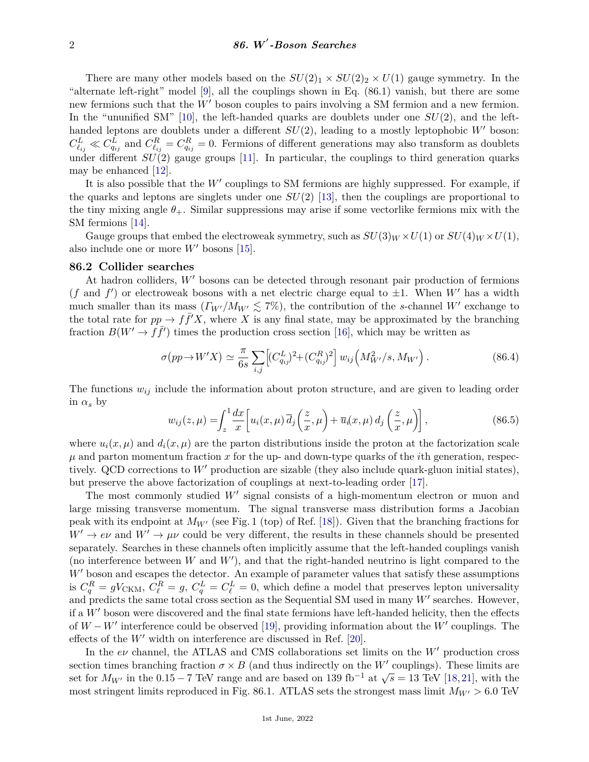There are many other models based on the  $SU(2)_1 \times SU(2)_2 \times U(1)$  gauge symmetry. In the "alternate left-right" model [\[9\]](#page-4-8), all the couplings shown in Eq. (86.1) vanish, but there are some new fermions such that the  $W'$  boson couples to pairs involving a SM fermion and a new fermion. In the "ununified SM"  $[10]$ , the left-handed quarks are doublets under one  $SU(2)$ , and the lefthanded leptons are doublets under a different  $SU(2)$ , leading to a mostly leptophobic  $W'$  boson:  $C_{\ell_{ij}}^L \ll C_{q_{ij}}^L$  and  $C_{\ell_{ij}}^R = C_{q_{ij}}^R = 0$ . Fermions of different generations may also transform as doublets under different *SU*(2) gauge groups [\[11\]](#page-4-10). In particular, the couplings to third generation quarks may be enhanced [\[12\]](#page-4-11).

It is also possible that the  $W'$  couplings to SM fermions are highly suppressed. For example, if the quarks and leptons are singlets under one  $SU(2)$  [\[13\]](#page-4-12), then the couplings are proportional to the tiny mixing angle  $\theta_{+}$ . Similar suppressions may arise if some vectorlike fermions mix with the SM fermions [\[14\]](#page-4-13).

Gauge groups that embed the electroweak symmetry, such as  $SU(3)_W \times U(1)$  or  $SU(4)_W \times U(1)$ , also include one or more  $W'$  bosons [\[15\]](#page-4-14).

### **86.2 Collider searches**

At hadron colliders, W' bosons can be detected through resonant pair production of fermions (*f* and *f*<sup>'</sup>) or electroweak bosons with a net electric charge equal to  $\pm 1$ . When *W*<sup>'</sup> has a width much smaller than its mass  $(\Gamma_{W'}/M_{W'} \lesssim 7\%)$ , the contribution of the *s*-channel *W'* exchange to the total rate for  $pp \to f\bar{f}^{\prime}X$ , where X is any final state, may be approximated by the branching fraction  $B(W' \to f\bar{f}')$  times the production cross section [\[16\]](#page-4-15), which may be written as

$$
\sigma(pp \to W'X) \simeq \frac{\pi}{6s} \sum_{i,j} \left[ (C_{q_{ij}}^L)^2 + (C_{q_{ij}}^R)^2 \right] w_{ij} \left( M_{W'}^2 / s, M_{W'} \right). \tag{86.4}
$$

The functions *wij* include the information about proton structure, and are given to leading order in  $\alpha_s$  by

$$
w_{ij}(z,\mu) = \int_z^1 \frac{dx}{x} \left[ u_i(x,\mu) \, \overline{d}_j\left(\frac{z}{x},\mu\right) + \overline{u}_i(x,\mu) \, d_j\left(\frac{z}{x},\mu\right) \right],\tag{86.5}
$$

where  $u_i(x,\mu)$  and  $d_i(x,\mu)$  are the parton distributions inside the proton at the factorization scale *µ* and parton momentum fraction *x* for the up- and down-type quarks of the *i*th generation, respectively. QCD corrections to  $W'$  production are sizable (they also include quark-gluon initial states), but preserve the above factorization of couplings at next-to-leading order [\[17\]](#page-4-16).

The most commonly studied  $W'$  signal consists of a high-momentum electron or muon and large missing transverse momentum. The signal transverse mass distribution forms a Jacobian peak with its endpoint at  $M_{W}$  (see Fig. 1 (top) of Ref. [\[18\]](#page-5-0)). Given that the branching fractions for  $W' \rightarrow e\nu$  and  $W' \rightarrow \mu\nu$  could be very different, the results in these channels should be presented separately. Searches in these channels often implicitly assume that the left-handed couplings vanish (no interference between  $W$  and  $W'$ ), and that the right-handed neutrino is light compared to the  $W'$  boson and escapes the detector. An example of parameter values that satisfy these assumptions is  $C_q^R = gV_{CKM}$ ,  $C_\ell^R = g$ ,  $C_q^L = C_\ell^L = 0$ , which define a model that preserves lepton universality and predicts the same total cross section as the Sequential SM used in many  $W'$  searches. However, if a  $W'$  boson were discovered and the final state fermions have left-handed helicity, then the effects of  $W - W'$  interference could be observed [\[19\]](#page-5-1), providing information about the  $W'$  couplings. The effects of the  $W'$  width on interference are discussed in Ref. [\[20\]](#page-5-2).

In the  $e\nu$  channel, the ATLAS and CMS collaborations set limits on the  $W'$  production cross section times branching fraction  $\sigma \times B$  (and thus indirectly on the *W'* couplings). These limits are section times branching fraction  $\sigma \times D$  (and thus indirectly on the *W* couplings). These finits are set for  $M_{W'}$  in the 0.15 − 7 TeV range and are based on 139 fb<sup>-1</sup> at  $\sqrt{s} = 13$  TeV [\[18,](#page-5-0)[21\]](#page-5-3), with the most stringent limits reproduced in Fig. 86.1. ATLAS sets the strongest mass limit  $M_{W} > 6.0$  TeV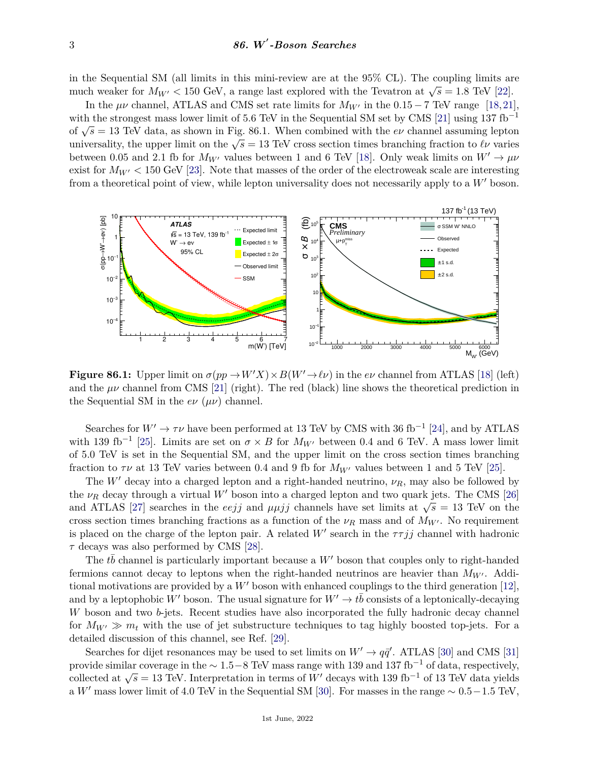in the Sequential SM (all limits in this mini-review are at the 95% CL). The coupling limits are m the sequential SM (all finites in this finite-leview are at the  $33/6$  CL). The coupling finites at much weaker for  $M_{W'} < 150$  GeV, a range last explored with the Tevatron at  $\sqrt{s} = 1.8$  TeV [\[22\]](#page-5-4).

In the  $\mu\nu$  channel, ATLAS and CMS set rate limits for  $M_{W'}$  in the 0.15 – 7 TeV range [\[18,](#page-5-0)[21\]](#page-5-3), with the strongest mass lower limit of 5.6 TeV in the Sequential SM set by CMS [\[21\]](#page-5-3) using 137 fb<sup>-1</sup> with the strongest mass lower mint of 5.0 TeV in the sequential SM set by CMS [21] using 157 to<br>of  $\sqrt{s} = 13$  TeV data, as shown in Fig. 86.1. When combined with the *ev* channel assuming lepton or  $\sqrt{s}$  = 13 TeV data, as shown in Fig. so.1. When combined with the *eν* channel assuming repton<br>universality, the upper limit on the  $\sqrt{s}$  = 13 TeV cross section times branching fraction to *ℓν* varies between 0.05 and 2.1 fb for  $M_{W'}$  values between 1 and 6 TeV [\[18\]](#page-5-0). Only weak limits on  $W' \to \mu\nu$ exist for  $M_{W'} < 150$  GeV [\[23\]](#page-5-5). Note that masses of the order of the electroweak scale are interesting from a theoretical point of view, while lepton universality does not necessarily apply to a W' boson.



**Figure 86.1:** Upper limit on  $\sigma(pp \to W'X) \times B(W' \to \ell \nu)$  in the  $e\nu$  channel from ATLAS [\[18\]](#page-5-0) (left) and the  $\mu\nu$  channel from CMS [\[21\]](#page-5-3) (right). The red (black) line shows the theoretical prediction in the Sequential SM in the  $e\nu$  ( $\mu\nu$ ) channel.

Searches for  $W' \to \tau \nu$  have been performed at 13 TeV by CMS with 36 fb<sup>-1</sup> [\[24\]](#page-5-6), and by ATLAS with 139 fb<sup>-1</sup> [\[25\]](#page-5-7). Limits are set on  $\sigma \times B$  for  $M_{W}$  between 0.4 and 6 TeV. A mass lower limit of 5.0 TeV is set in the Sequential SM, and the upper limit on the cross section times branching fraction to  $\tau\nu$  at 13 TeV varies between 0.4 and 9 fb for  $M_{W}$  values between 1 and 5 TeV [\[25\]](#page-5-7).

The  $W'$  decay into a charged lepton and a right-handed neutrino,  $\nu_R$ , may also be followed by the  $\nu_R$  decay through a virtual W' boson into a charged lepton and two quark jets. The CMS [\[26\]](#page-5-8) and ATLAS [\[27\]](#page-5-9) searches in the *eejj* and  $\mu\mu jj$  channels have set limits at  $\sqrt{s} = 13$  TeV on the cross section times branching fractions as a function of the  $\nu_R$  mass and of  $M_{W'}$ . No requirement is placed on the charge of the lepton pair. A related  $W'$  search in the  $\tau \tau j j$  channel with hadronic *τ* decays was also performed by CMS [\[28\]](#page-5-10).

The  $t\bar{b}$  channel is particularly important because a  $W'$  boson that couples only to right-handed fermions cannot decay to leptons when the right-handed neutrinos are heavier than  $M_{W}$ . Additional motivations are provided by a  $W'$  boson with enhanced couplings to the third generation [\[12\]](#page-4-11). and by a leptophobic  $W'$  boson. The usual signature for  $W' \to t\bar{b}$  consists of a leptonically-decaying *W* boson and two *b*-jets. Recent studies have also incorporated the fully hadronic decay channel for  $M_{W'} \gg m_t$  with the use of jet substructure techniques to tag highly boosted top-jets. For a detailed discussion of this channel, see Ref. [\[29\]](#page-5-11).

Searches for dijet resonances may be used to set limits on  $W' \rightarrow q\bar{q}'$ . ATLAS [\[30\]](#page-5-12) and CMS [\[31\]](#page-5-13) provide similar coverage in the ∼ 1*.*5−8 TeV mass range with 139 and 137 fb−<sup>1</sup> of data, respectively, collected at  $\sqrt{s} = 13$  TeV. Interpretation in terms of *W*<sup>0</sup> decays with 139 fb<sup>-1</sup> of 13 TeV data yields a *W*<sup> $\prime$ </sup> mass lower limit of 4.0 TeV in the Sequential SM [\[30\]](#page-5-12). For masses in the range  $\sim 0.5-1.5$  TeV,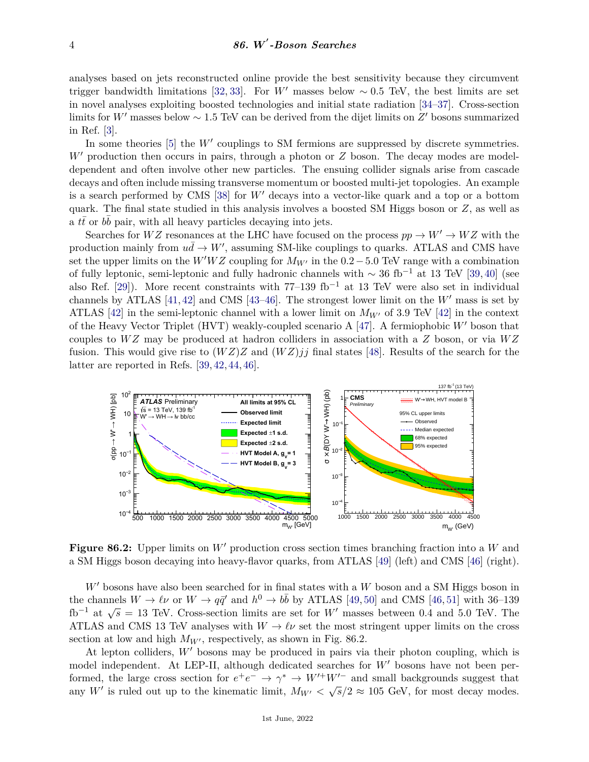analyses based on jets reconstructed online provide the best sensitivity because they circumvent trigger bandwidth limitations [\[32,](#page-5-14) [33\]](#page-5-15). For *W'* masses below  $\sim 0.5$  TeV, the best limits are set in novel analyses exploiting boosted technologies and initial state radiation [\[34–](#page-5-16)[37\]](#page-5-17). Cross-section limits for *W*<sup>*'*</sup> masses below ~ 1.5 TeV can be derived from the dijet limits on *Z*<sup>*'*</sup> bosons summarized in Ref. [\[3\]](#page-4-2).

In some theories  $[5]$  the  $W'$  couplings to SM fermions are suppressed by discrete symmetries.  $W'$  production then occurs in pairs, through a photon or  $Z$  boson. The decay modes are modeldependent and often involve other new particles. The ensuing collider signals arise from cascade decays and often include missing transverse momentum or boosted multi-jet topologies. An example is a search performed by CMS  $[38]$  for W' decays into a vector-like quark and a top or a bottom quark. The final state studied in this analysis involves a boosted SM Higgs boson or *Z*, as well as  $\overline{a}$  *tt* or  $b\overline{b}$  pair, with all heavy particles decaying into jets.

Searches for  $WZ$  resonances at the LHC have focused on the process  $pp \to W' \to WZ$  with the production mainly from  $u\bar{d} \to W'$ , assuming SM-like couplings to quarks. ATLAS and CMS have set the upper limits on the  $W'WZ$  coupling for  $M_{W'}$  in the 0.2 – 5.0 TeV range with a combination of fully leptonic, semi-leptonic and fully hadronic channels with  $\sim 36$  fb<sup>-1</sup> at 13 TeV [\[39,](#page-5-19) [40\]](#page-5-20) (see also Ref. [\[29\]](#page-5-11)). More recent constraints with  $77-139$  fb<sup>-1</sup> at 13 TeV were also set in individual channels by ATLAS  $[41, 42]$  $[41, 42]$  $[41, 42]$  and CMS  $[43-46]$  $[43-46]$ . The strongest lower limit on the *W'* mass is set by ATLAS [\[42\]](#page-5-22) in the semi-leptonic channel with a lower limit on  $M_{W}$  of 3.9 TeV [42] in the context of the Heavy Vector Triplet (HVT) weakly-coupled scenario A  $[47]$ . A fermiophobic  $W'$  boson that couples to *W Z* may be produced at hadron colliders in association with a *Z* boson, or via *W Z* fusion. This would give rise to  $(WZ)Z$  and  $(WZ)jj$  final states [\[48\]](#page-5-26). Results of the search for the latter are reported in Refs. [\[39,](#page-5-19) [42,](#page-5-22) [44,](#page-5-27) [46\]](#page-5-24).



**Figure 86.2:** Upper limits on W' production cross section times branching fraction into a W and a SM Higgs boson decaying into heavy-flavor quarks, from ATLAS [\[49\]](#page-5-28) (left) and CMS [\[46\]](#page-5-24) (right).

 $W'$  bosons have also been searched for in final states with a  $W$  boson and a SM Higgs boson in the channels  $W \to \ell \nu$  or  $W \to q\bar{q}'$  and  $h^0 \to b\bar{b}$  by ATLAS [\[49,](#page-5-28) [50\]](#page-5-29) and CMS [\[46,](#page-5-24) [51\]](#page-5-30) with 36–139 fb<sup>-1</sup> at  $\sqrt{s}$  = 13 TeV. Cross-section limits are set for *W'* masses between 0.4 and 5.0 TeV. The ATLAS and CMS 13 TeV analyses with  $W \to \ell \nu$  set the most stringent upper limits on the cross section at low and high  $M_{W}$ , respectively, as shown in Fig. 86.2.

At lepton colliders,  $W'$  bosons may be produced in pairs via their photon coupling, which is model independent. At LEP-II, although dedicated searches for  $W'$  bosons have not been performed, the large cross section for  $e^+e^- \to \gamma^* \to W'^+W'^-$  and small backgrounds suggest that any W' is ruled out up to the kinematic limit,  $M_{W'} < \sqrt{s}/2 \approx 105$  GeV, for most decay modes.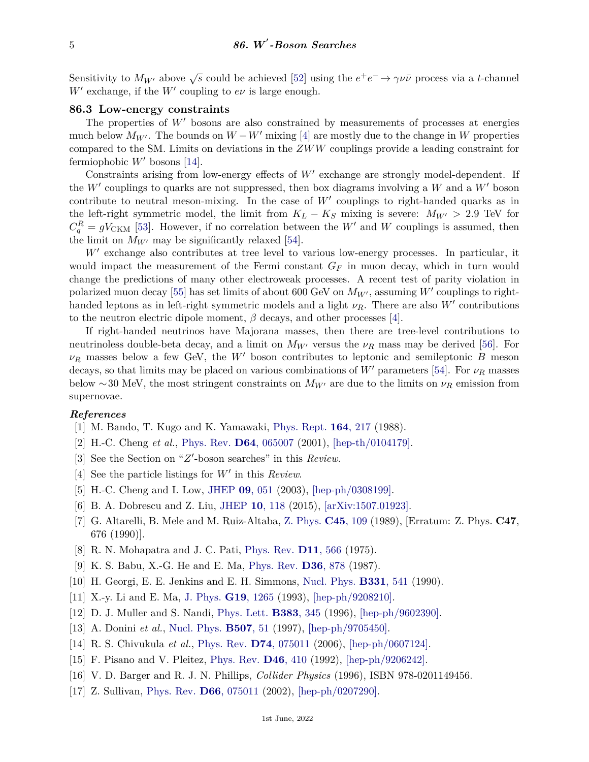Sensitivity to  $M_{W'}$  above  $\sqrt{s}$  could be achieved [\[52\]](#page-5-31) using the  $e^+e^- \to \gamma \nu \bar{\nu}$  process via a *t*-channel  $W'$  exchange, if the  $W'$  coupling to  $e\nu$  is large enough.

### **86.3 Low-energy constraints**

The properties of  $W'$  bosons are also constrained by measurements of processes at energies much below  $M_{W'}$ . The bounds on  $W - W'$  mixing [\[4\]](#page-4-3) are mostly due to the change in W properties compared to the SM. Limits on deviations in the *ZWW* couplings provide a leading constraint for fermiophobic  $W'$  bosons [\[14\]](#page-4-13).

Constraints arising from low-energy effects of  $W'$  exchange are strongly model-dependent. If the  $W'$  couplings to quarks are not suppressed, then box diagrams involving a  $W$  and a  $W'$  boson contribute to neutral meson-mixing. In the case of  $W'$  couplings to right-handed quarks as in the left-right symmetric model, the limit from  $K_L - K_S$  mixing is severe:  $M_{W'} > 2.9$  TeV for  $C_q^R = gV_{\text{CKM}}$  [\[53\]](#page-5-32). However, if no correlation between the *W*<sup>0</sup> and *W* couplings is assumed, then the limit on  $M_{W}$  may be significantly relaxed [\[54\]](#page-5-33).

 $W'$  exchange also contributes at tree level to various low-energy processes. In particular, it would impact the measurement of the Fermi constant *G<sup>F</sup>* in muon decay, which in turn would change the predictions of many other electroweak processes. A recent test of parity violation in polarized muon decay [\[55\]](#page-5-34) has set limits of about 600 GeV on  $M_{W'}$ , assuming  $W'$  couplings to righthanded leptons as in left-right symmetric models and a light  $\nu_R$ . There are also *W'* contributions to the neutron electric dipole moment,  $\beta$  decays, and other processes [\[4\]](#page-4-3).

If right-handed neutrinos have Majorana masses, then there are tree-level contributions to neutrinoless double-beta decay, and a limit on  $M_{W}$  versus the  $\nu_R$  mass may be derived [\[56\]](#page-5-35). For  $\nu_R$  masses below a few GeV, the *W*<sup>*I*</sup> boson contributes to leptonic and semileptonic *B* meson decays, so that limits may be placed on various combinations of  $W'$  parameters [\[54\]](#page-5-33). For  $\nu_R$  masses below ~30 MeV, the most stringent constraints on  $M_{W}$  are due to the limits on  $\nu_R$  emission from supernovae.

#### <span id="page-4-0"></span>*References*

- [1] M. Bando, T. Kugo and K. Yamawaki, [Phys. Rept.](http://doi.org/10.1016/0370-1573(88)90019-1) **164**[, 217](http://doi.org/10.1016/0370-1573(88)90019-1) (1988).
- <span id="page-4-1"></span>[2] H.-C. Cheng *et al.*, [Phys. Rev.](http://doi.org/10.1103/PhysRevD.64.065007) **D64**[, 065007](http://doi.org/10.1103/PhysRevD.64.065007) (2001), [\[hep-th/0104179\].](https://arxiv.org/abs/hep-th/0104179)
- <span id="page-4-2"></span>[3] See the Section on "Z'-boson searches" in this *Review*.
- <span id="page-4-3"></span>[4] See the particle listings for  $W'$  in this *Review*.
- <span id="page-4-4"></span>[5] H.-C. Cheng and I. Low, [JHEP](http://doi.org/10.1088/1126-6708/2003/09/051) **09**[, 051](http://doi.org/10.1088/1126-6708/2003/09/051) (2003), [\[hep-ph/0308199\].](https://arxiv.org/abs/hep-ph/0308199)
- <span id="page-4-5"></span>[6] B. A. Dobrescu and Z. Liu, [JHEP](http://doi.org/10.1007/JHEP10(2015)118) **10**[, 118](http://doi.org/10.1007/JHEP10(2015)118) (2015), [\[arXiv:1507.01923\].](https://arxiv.org/abs/1507.01923)
- <span id="page-4-6"></span>[7] G. Altarelli, B. Mele and M. Ruiz-Altaba, [Z. Phys.](http://doi.org/10.1007/BF01552335) **C45**[, 109](http://doi.org/10.1007/BF01552335) (1989), [Erratum: Z. Phys. **C47**, 676 (1990)].
- <span id="page-4-7"></span>[8] R. N. Mohapatra and J. C. Pati, [Phys. Rev.](http://doi.org/10.1103/PhysRevD.11.566) **D11**[, 566](http://doi.org/10.1103/PhysRevD.11.566) (1975).
- <span id="page-4-8"></span>[9] K. S. Babu, X.-G. He and E. Ma, [Phys. Rev.](http://doi.org/10.1103/PhysRevD.36.878) **D36**[, 878](http://doi.org/10.1103/PhysRevD.36.878) (1987).
- <span id="page-4-9"></span>[10] H. Georgi, E. E. Jenkins and E. H. Simmons, [Nucl. Phys.](http://doi.org/10.1016/0550-3213(90)90083-P) **[B331](http://doi.org/10.1016/0550-3213(90)90083-P)**, 541 (1990).
- <span id="page-4-10"></span>[11] X.-y. Li and E. Ma, [J. Phys.](http://doi.org/10.1088/0954-3899/19/9/006) **G19**[, 1265](http://doi.org/10.1088/0954-3899/19/9/006) (1993), [\[hep-ph/9208210\].](https://arxiv.org/abs/hep-ph/9208210)
- <span id="page-4-11"></span>[12] D. J. Muller and S. Nandi, [Phys. Lett.](http://doi.org/10.1016/0370-2693(96)00745-9) **[B383](http://doi.org/10.1016/0370-2693(96)00745-9)**, 345 (1996), [\[hep-ph/9602390\].](https://arxiv.org/abs/hep-ph/9602390)
- <span id="page-4-12"></span>[13] A. Donini *et al.*, [Nucl. Phys.](http://doi.org/10.1016/S0550-3213(97)00537-3) **[B507](http://doi.org/10.1016/S0550-3213(97)00537-3)**, 51 (1997), [\[hep-ph/9705450\].](https://arxiv.org/abs/hep-ph/9705450)
- <span id="page-4-13"></span>[14] R. S. Chivukula *et al.*, [Phys. Rev.](http://doi.org/10.1103/PhysRevD.74.075011) **D74**[, 075011](http://doi.org/10.1103/PhysRevD.74.075011) (2006), [\[hep-ph/0607124\].](https://arxiv.org/abs/hep-ph/0607124)
- <span id="page-4-14"></span>[15] F. Pisano and V. Pleitez, [Phys. Rev.](http://doi.org/10.1103/PhysRevD.46.410) **D46**[, 410](http://doi.org/10.1103/PhysRevD.46.410) (1992), [\[hep-ph/9206242\].](https://arxiv.org/abs/hep-ph/9206242)
- <span id="page-4-15"></span>[16] V. D. Barger and R. J. N. Phillips, *Collider Physics* (1996), ISBN 978-0201149456.
- <span id="page-4-16"></span>[17] Z. Sullivan, [Phys. Rev.](http://doi.org/10.1103/PhysRevD.66.075011) **D66**[, 075011](http://doi.org/10.1103/PhysRevD.66.075011) (2002), [\[hep-ph/0207290\].](https://arxiv.org/abs/hep-ph/0207290)